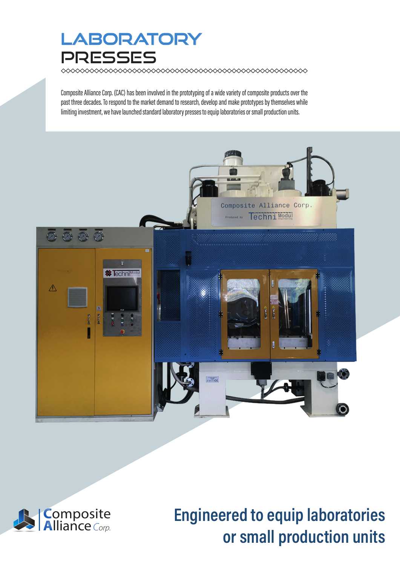### **LABORATORY** PRESSES

 $\infty$ 

Composite Alliance Corp. (CAC) has been involved in the prototyping of a wide variety of composite products over the past three decades. To respond to the market demand to research, develop and make prototypes by themselves while limiting investment, we have launched standard laboratory presses to equip laboratories or small production units.





# Engineered to equip laboratories or small production units